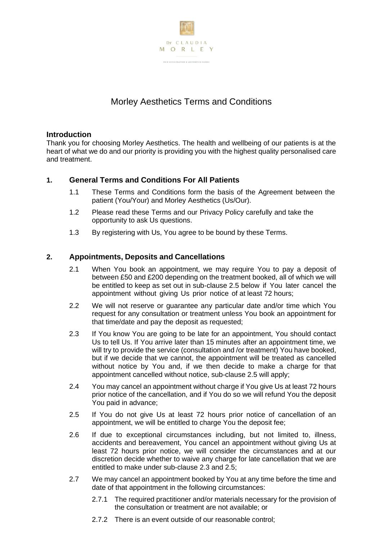

# Morley Aesthetics Terms and Conditions

# **Introduction**

Thank you for choosing Morley Aesthetics. The health and wellbeing of our patients is at the heart of what we do and our priority is providing you with the highest quality personalised care and treatment.

# **1. General Terms and Conditions For All Patients**

- 1.1 These Terms and Conditions form the basis of the Agreement between the patient (You/Your) and Morley Aesthetics (Us/Our).
- 1.2 Please read these Terms and our Privacy Policy carefully and take the opportunity to ask Us questions.
- 1.3 By registering with Us, You agree to be bound by these Terms.

# **2. Appointments, Deposits and Cancellations**

- 2.1 When You book an appointment, we may require You to pay a deposit of between £50 and £200 depending on the treatment booked, all of which we will be entitled to keep as set out in sub-clause 2.5 below if You later cancel the appointment without giving Us prior notice of at least 72 hours;
- 2.2 We will not reserve or guarantee any particular date and/or time which You request for any consultation or treatment unless You book an appointment for that time/date and pay the deposit as requested;
- 2.3 If You know You are going to be late for an appointment, You should contact Us to tell Us. If You arrive later than 15 minutes after an appointment time, we will try to provide the service (consultation and /or treatment) You have booked, but if we decide that we cannot, the appointment will be treated as cancelled without notice by You and, if we then decide to make a charge for that appointment cancelled without notice, sub-clause 2.5 will apply;
- 2.4 You may cancel an appointment without charge if You give Us at least 72 hours prior notice of the cancellation, and if You do so we will refund You the deposit You paid in advance;
- 2.5 If You do not give Us at least 72 hours prior notice of cancellation of an appointment, we will be entitled to charge You the deposit fee;
- 2.6 If due to exceptional circumstances including, but not limited to, illness, accidents and bereavement, You cancel an appointment without giving Us at least 72 hours prior notice, we will consider the circumstances and at our discretion decide whether to waive any charge for late cancellation that we are entitled to make under sub-clause 2.3 and 2.5;
- 2.7 We may cancel an appointment booked by You at any time before the time and date of that appointment in the following circumstances:
	- 2.7.1 The required practitioner and/or materials necessary for the provision of the consultation or treatment are not available; or
	- 2.7.2 There is an event outside of our reasonable control;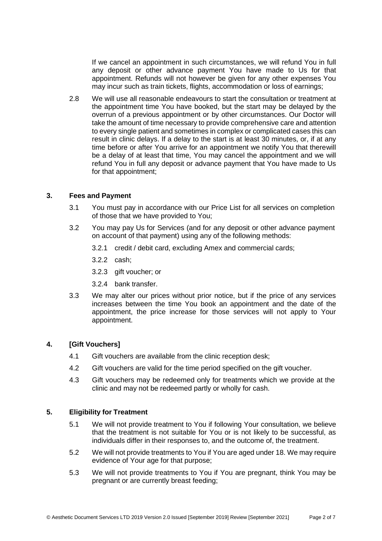If we cancel an appointment in such circumstances, we will refund You in full any deposit or other advance payment You have made to Us for that appointment. Refunds will not however be given for any other expenses You may incur such as train tickets, flights, accommodation or loss of earnings;

2.8 We will use all reasonable endeavours to start the consultation or treatment at the appointment time You have booked, but the start may be delayed by the overrun of a previous appointment or by other circumstances. Our Doctor will take the amount of time necessary to provide comprehensive care and attention to every single patient and sometimes in complex or complicated cases this can result in clinic delays. If a delay to the start is at least 30 minutes, or, if at any time before or after You arrive for an appointment we notify You that therewill be a delay of at least that time, You may cancel the appointment and we will refund You in full any deposit or advance payment that You have made to Us for that appointment;

# **3. Fees and Payment**

- 3.1 You must pay in accordance with our Price List for all services on completion of those that we have provided to You;
- 3.2 You may pay Us for Services (and for any deposit or other advance payment on account of that payment) using any of the following methods:
	- 3.2.1 credit / debit card, excluding Amex and commercial cards;
	- 3.2.2 cash;
	- 3.2.3 gift voucher; or
	- 3.2.4 bank transfer.
- 3.3 We may alter our prices without prior notice, but if the price of any services increases between the time You book an appointment and the date of the appointment, the price increase for those services will not apply to Your appointment.

# **4. [Gift Vouchers]**

- 4.1 Gift vouchers are available from the clinic reception desk;
- 4.2 Gift vouchers are valid for the time period specified on the gift voucher.
- 4.3 Gift vouchers may be redeemed only for treatments which we provide at the clinic and may not be redeemed partly or wholly for cash.

# **5. Eligibility for Treatment**

- 5.1 We will not provide treatment to You if following Your consultation, we believe that the treatment is not suitable for You or is not likely to be successful, as individuals differ in their responses to, and the outcome of, the treatment.
- 5.2 We will not provide treatments to You if You are aged under 18. We may require evidence of Your age for that purpose;
- 5.3 We will not provide treatments to You if You are pregnant, think You may be pregnant or are currently breast feeding;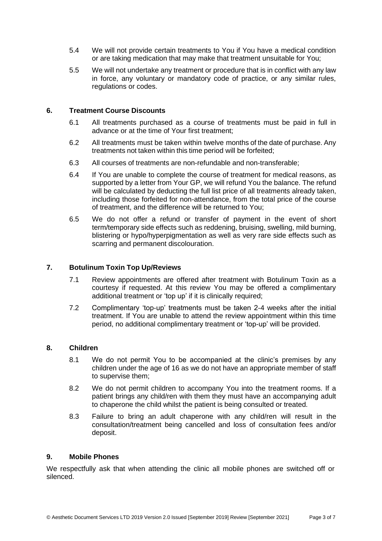- 5.4 We will not provide certain treatments to You if You have a medical condition or are taking medication that may make that treatment unsuitable for You;
- 5.5 We will not undertake any treatment or procedure that is in conflict with any law in force, any voluntary or mandatory code of practice, or any similar rules, regulations or codes.

# **6. Treatment Course Discounts**

- 6.1 All treatments purchased as a course of treatments must be paid in full in advance or at the time of Your first treatment;
- 6.2 All treatments must be taken within twelve months of the date of purchase. Any treatments not taken within this time period will be forfeited;
- 6.3 All courses of treatments are non-refundable and non-transferable;
- 6.4 If You are unable to complete the course of treatment for medical reasons, as supported by a letter from Your GP, we will refund You the balance. The refund will be calculated by deducting the full list price of all treatments already taken, including those forfeited for non-attendance, from the total price of the course of treatment, and the difference will be returned to You;
- 6.5 We do not offer a refund or transfer of payment in the event of short term/temporary side effects such as reddening, bruising, swelling, mild burning, blistering or hypo/hyperpigmentation as well as very rare side effects such as scarring and permanent discolouration.

# **7. Botulinum Toxin Top Up/Reviews**

- 7.1 Review appointments are offered after treatment with Botulinum Toxin as a courtesy if requested. At this review You may be offered a complimentary additional treatment or 'top up' if it is clinically required;
- 7.2 Complimentary 'top-up' treatments must be taken 2-4 weeks after the initial treatment. If You are unable to attend the review appointment within this time period, no additional complimentary treatment or 'top-up' will be provided.

#### **8. Children**

- 8.1 We do not permit You to be accompanied at the clinic's premises by any children under the age of 16 as we do not have an appropriate member of staff to supervise them;
- 8.2 We do not permit children to accompany You into the treatment rooms. If a patient brings any child/ren with them they must have an accompanying adult to chaperone the child whilst the patient is being consulted or treated.
- 8.3 Failure to bring an adult chaperone with any child/ren will result in the consultation/treatment being cancelled and loss of consultation fees and/or deposit.

#### **9. Mobile Phones**

We respectfully ask that when attending the clinic all mobile phones are switched off or silenced.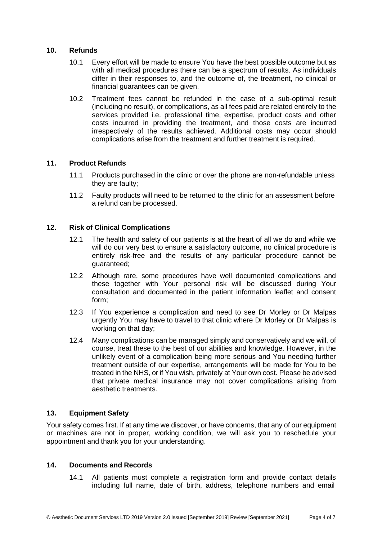# **10. Refunds**

- 10.1 Every effort will be made to ensure You have the best possible outcome but as with all medical procedures there can be a spectrum of results. As individuals differ in their responses to, and the outcome of, the treatment, no clinical or financial guarantees can be given.
- 10.2 Treatment fees cannot be refunded in the case of a sub-optimal result (including no result), or complications, as all fees paid are related entirely to the services provided i.e. professional time, expertise, product costs and other costs incurred in providing the treatment, and those costs are incurred irrespectively of the results achieved. Additional costs may occur should complications arise from the treatment and further treatment is required.

# **11. Product Refunds**

- 11.1 Products purchased in the clinic or over the phone are non-refundable unless they are faulty;
- 11.2 Faulty products will need to be returned to the clinic for an assessment before a refund can be processed.

# **12. Risk of Clinical Complications**

- 12.1 The health and safety of our patients is at the heart of all we do and while we will do our very best to ensure a satisfactory outcome, no clinical procedure is entirely risk-free and the results of any particular procedure cannot be guaranteed;
- 12.2 Although rare, some procedures have well documented complications and these together with Your personal risk will be discussed during Your consultation and documented in the patient information leaflet and consent form;
- 12.3 If You experience a complication and need to see Dr Morley or Dr Malpas urgently You may have to travel to that clinic where Dr Morley or Dr Malpas is working on that day;
- 12.4 Many complications can be managed simply and conservatively and we will, of course, treat these to the best of our abilities and knowledge. However, in the unlikely event of a complication being more serious and You needing further treatment outside of our expertise, arrangements will be made for You to be treated in the NHS, or if You wish, privately at Your own cost. Please be advised that private medical insurance may not cover complications arising from aesthetic treatments.

#### **13. Equipment Safety**

Your safety comes first. If at any time we discover, or have concerns, that any of our equipment or machines are not in proper, working condition, we will ask you to reschedule your appointment and thank you for your understanding.

#### **14. Documents and Records**

14.1 All patients must complete a registration form and provide contact details including full name, date of birth, address, telephone numbers and email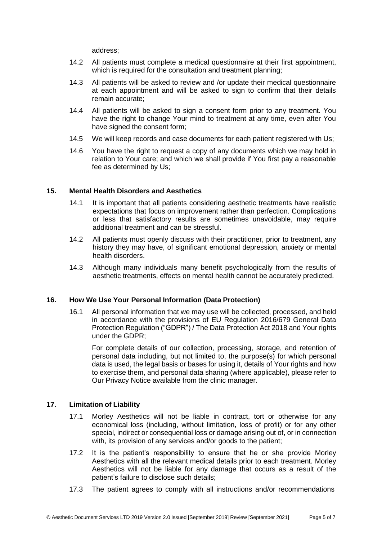address;

- 14.2 All patients must complete a medical questionnaire at their first appointment, which is required for the consultation and treatment planning;
- 14.3 All patients will be asked to review and /or update their medical questionnaire at each appointment and will be asked to sign to confirm that their details remain accurate;
- 14.4 All patients will be asked to sign a consent form prior to any treatment. You have the right to change Your mind to treatment at any time, even after You have signed the consent form;
- 14.5 We will keep records and case documents for each patient registered with Us;
- 14.6 You have the right to request a copy of any documents which we may hold in relation to Your care; and which we shall provide if You first pay a reasonable fee as determined by Us;

# **15. Mental Health Disorders and Aesthetics**

- 14.1 It is important that all patients considering aesthetic treatments have realistic expectations that focus on improvement rather than perfection. Complications or less that satisfactory results are sometimes unavoidable, may require additional treatment and can be stressful.
- 14.2 All patients must openly discuss with their practitioner, prior to treatment, any history they may have, of significant emotional depression, anxiety or mental health disorders.
- 14.3 Although many individuals many benefit psychologically from the results of aesthetic treatments, effects on mental health cannot be accurately predicted.

#### **16. How We Use Your Personal Information (Data Protection)**

16.1 All personal information that we may use will be collected, processed, and held in accordance with the provisions of EU Regulation 2016/679 General Data Protection Regulation ("GDPR") / The Data Protection Act 2018 and Your rights under the GDPR;

For complete details of our collection, processing, storage, and retention of personal data including, but not limited to, the purpose(s) for which personal data is used, the legal basis or bases for using it, details of Your rights and how to exercise them, and personal data sharing (where applicable), please refer to Our Privacy Notice available from the clinic manager.

#### **17. Limitation of Liability**

- 17.1 Morley Aesthetics will not be liable in contract, tort or otherwise for any economical loss (including, without limitation, loss of profit) or for any other special, indirect or consequential loss or damage arising out of, or in connection with, its provision of any services and/or goods to the patient;
- 17.2 It is the patient's responsibility to ensure that he or she provide Morley Aesthetics with all the relevant medical details prior to each treatment. Morley Aesthetics will not be liable for any damage that occurs as a result of the patient's failure to disclose such details;
- 17.3 The patient agrees to comply with all instructions and/or recommendations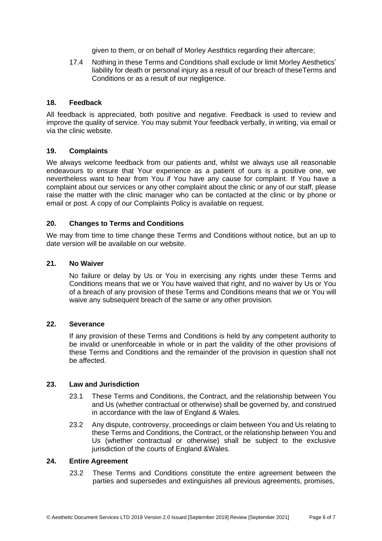given to them, or on behalf of Morley Aesthtics regarding their aftercare;

17.4 Nothing in these Terms and Conditions shall exclude or limit Morley Aesthetics' liability for death or personal injury as a result of our breach of theseTerms and Conditions or as a result of our negligence.

# **18. Feedback**

All feedback is appreciated, both positive and negative. Feedback is used to review and improve the quality of service. You may submit Your feedback verbally, in writing, via email or via the clinic website.

#### **19. Complaints**

We always welcome feedback from our patients and, whilst we always use all reasonable endeavours to ensure that Your experience as a patient of ours is a positive one, we nevertheless want to hear from You if You have any cause for complaint. If You have a complaint about our services or any other complaint about the clinic or any of our staff, please raise the matter with the clinic manager who can be contacted at the clinic or by phone or email or post. A copy of our Complaints Policy is available on request.

#### **20. Changes to Terms and Conditions**

We may from time to time change these Terms and Conditions without notice, but an up to date version will be available on our website.

# **21. No Waiver**

No failure or delay by Us or You in exercising any rights under these Terms and Conditions means that we or You have waived that right, and no waiver by Us or You of a breach of any provision of these Terms and Conditions means that we or You will waive any subsequent breach of the same or any other provision.

# **22. Severance**

If any provision of these Terms and Conditions is held by any competent authority to be invalid or unenforceable in whole or in part the validity of the other provisions of these Terms and Conditions and the remainder of the provision in question shall not be affected.

#### **23. Law and Jurisdiction**

- 23.1 These Terms and Conditions, the Contract, and the relationship between You and Us (whether contractual or otherwise) shall be governed by, and construed in accordance with the law of England & Wales.
- 23.2 Any dispute, controversy, proceedings or claim between You and Us relating to these Terms and Conditions, the Contract, or the relationship between You and Us (whether contractual or otherwise) shall be subject to the exclusive jurisdiction of the courts of England &Wales.

# **24. Entire Agreement**

23.2 These Terms and Conditions constitute the entire agreement between the parties and supersedes and extinguishes all previous agreements, promises,